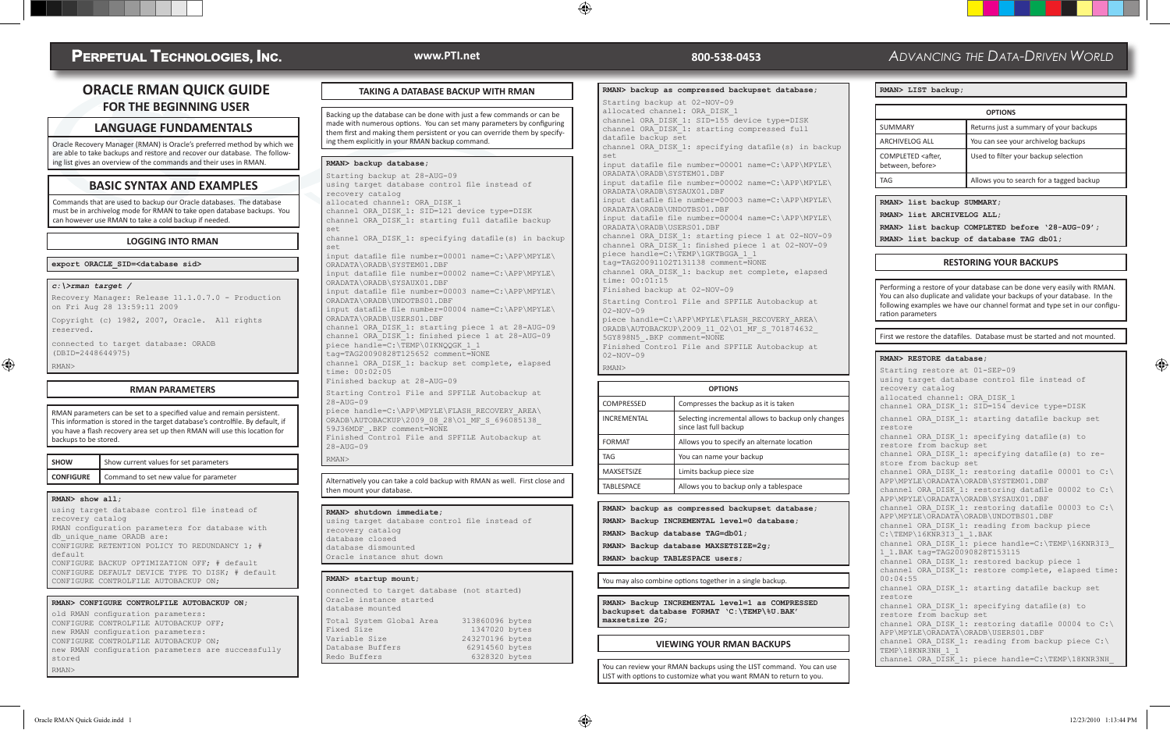# **PERPETUAL TECHNOLOGIES, INC.**

# **ORACLE RMAN QUICK GUIDE FOR THE BEGINNING USER**

## **LANGUAGE FUNDAMENTALS**

Oracle Recovery Manager (RMAN) is Oracle's preferred method by which we are able to take backups and restore and recover our database. The following list gives an overview of the commands and their uses in RMAN.

## **BASIC SYNTAX AND EXAMPLES**

Commands that are used to backup our Oracle databases. The database must be in archivelog mode for RMAN to take open database backups. You can however use RMAN to take a cold backup if needed.

#### **LOGGING INTO RMAN**

**export ORACLE\_SID=<database sid>**

#### *c:\>rman target /*

RMAN>

Recovery Manager: Release 11.1.0.7.0 - Production on Fri Aug 28 13:59:11 2009

Copyright (c) 1982, 2007, Oracle. All rights reserved.

connected to target database: ORADB (DBID=2448644975)

 $\bigoplus$ 

#### **RMAN PARAMETERS**

RMAN parameters can be set to a specified value and remain persistent. This information is stored in the target database's controlfile. By default, if you have a flash recovery area set up then RMAN will use this location for backups to be stored.

| <b>SHOW</b> | Show current values for set parameters                  |
|-------------|---------------------------------------------------------|
|             | <b>CONFIGURE</b> Command to set new value for parameter |

#### **RMAN> show all;**

using target database control file instead of recovery catalog RMAN configuration parameters for database with db\_unique\_name ORADB are: CONFIGURE RETENTION POLICY TO REDUNDANCY 1; # default CONFIGURE BACKUP OPTIMIZATION OFF; # default CONFIGURE DEFAULT DEVICE TYPE TO DISK; # default CONFIGURE CONTROLFILE AUTOBACKUP ON;

#### **RMAN> CONFIGURE CONTROLFILE AUTOBACKUP ON;**

old RMAN configuration parameters: CONFIGURE CONTROLFILE AUTOBACKUP OFF; new RMAN configuration parameters: CONFIGURE CONTROLFILE AUTOBACKUP ON; new RMAN configuration parameters are successfully stored RMAN>

## **TAKING A DATABASE BACKUP WITH RMAN**

Backing up the database can be done with just a few commands or can be made with numerous options. You can set many parameters by configuring them first and making them persistent or you can override them by specifying them explicitly in your RMAN backup command.

#### **RMAN> backup database;**

Starting backup at 28-AUG-09 using target database control file instead of recovery catalog allocated channel: ORA\_DISK\_1 channel ORA DISK 1: SID=121 device type=DISK channel ORA\_DISK\_1: starting full datafile backup

set channel ORA DISK 1: specifying datafile(s) in backup set

input datafile file number=00001 name=C:\APP\MPYLE\ ORADATA\ORADB\SYSTEM01.DBF input datafile file number=00002 name=C:\APP\MPYLE\ ORADATA\ORADB\SYSAUX01.DBF input datafile file number=00003 name=C:\APP\MPYLE\

ORADATA\ORADB\UNDOTBS01.DBF input datafile file number=00004 name=C:\APP\MPYLE\ ORADATA\ORADB\USERS01.DBF

channel ORA DISK 1: starting piece 1 at 28-AUG-09 channel ORA\_DISK\_1: finished piece 1 at 28-AUG-09 piece handle=C:\TEMP\0IKNQQGK 1 1 tag=TAG20090828T125652 comment=NONE channel ORA\_DISK\_1: backup set complete, elapsed time: 00:02:05

Finished backup at 28-AUG-09

Starting Control File and SPFILE Autobackup at  $28 - \text{AUG} - 09$ 

piece handle=C:\APP\MPYLE\FLASH\_RECOVERY\_AREA\  $ORADB\AUTOBACKUP\2009$  08 28\O1 MF S 696085138 59J36MDF\_.BKP comment=NONE Finished Control File and SPFILE Autobackup at 28-AUG-09

#### RMAN>

Alternatively you can take a cold backup with RMAN as well. First close and then mount your database.

#### **RMAN> shutdown immediate;**

using target database control file instead of recovery catalog database closed database dismounted Oracle instance shut down

#### **RMAN> startup mount;**

| connected to target database (not started)<br>Oracle instance started<br>database mounted |                 |
|-------------------------------------------------------------------------------------------|-----------------|
| Total System Global Area                                                                  | 313860096 bytes |
| Fixed Size                                                                                | 1347020 bytes   |
| Variable Size                                                                             | 243270196 bytes |
| Database Buffers                                                                          | 62914560 bytes  |
| Redo Buffers                                                                              | 6328320 bytes   |

## **www.PTI.net 800-538-0453**

⊕

#### **RMAN> backup as compressed backupset database;**

Starting backup at 02-NOV-09 allocated channel: ORA\_DISK\_1 channel ORA DISK 1: SID=155 device type=DISK channel ORA\_DISK\_1: starting compressed full datafile backup set channel ORA\_DISK\_1: specifying datafile(s) in backup set input datafile file number=00001 name=C:\APP\MPYLE\ ORADATA\ORADB\SYSTEM01.DBF input datafile file number=00002 name=C:\APP\MPYLE\ ORADATA\ORADB\SYSAUX01.DBF input datafile file number=00003 name=C:\APP\MPYLE\ ORADATA\ORADB\UNDOTBS01.DBF input datafile file number=00004 name=C:\APP\MPYLE\ ORADATA\ORADB\USERS01.DBF channel ORA DISK 1: starting piece 1 at 02-NOV-09 channel ORA\_DISK\_1: finished piece 1 at 02-NOV-09 piece handle=C:\TEMP\1GKTBGGA\_1\_1 tag=TAG20091102T131138 comment=NONE channel ORA DISK 1: backup set complete, elapsed time: 00:01:15 Finished backup at 02-NOV-09 Starting Control File and SPFILE Autobackup at 02-NOV-09 piece handle=C:\APP\MPYLE\FLASH\_RECOVERY\_AREA\  $ORADB\AUTOBACKUP\2009$  11 02\O1 MF S 701874632 5GY898N5\_.BKP comment=NONE

Finished Control File and SPFILE Autobackup at 02-NOV-09 RMAN>

# **OPTIONS** COMPRESSED Compresses the backup as it is taken INCREMENTAL Selecting incremental allows to backup only changes since last full backup FORMAT Allows you to specify an alternate location TAG You can name your backup MAXSETSIZE Limits backup piece size  $TABLESPACE$  Allows you to backup only a tablespace

#### **RMAN> backup as compressed backupset database; RMAN> Backup INCREMENTAL level=0 database;**

**RMAN> Backup database TAG=db01;**

**RMAN> Backup database MAXSETSIZE=2g;**

**RMAN> backup TABLESPACE users;**

#### You may also combine options together in a single backup.

**RMAN> Backup INCREMENTAL level=1 as COMPRESSED backupset database FORMAT 'C:\TEMP\%U.BAK' maxsetsize 2G;**

#### **VIEWING YOUR RMAN BACKUPS**

You can review your RMAN backups using the LIST command. You can use LIST with options to customize what you want RMAN to return to you.

# *ADVANCING THE DATA-DRIVEN WORLD*

|  | RMAN> LIST backup; |  |
|--|--------------------|--|
|  |                    |  |

| <b>OPTIONS</b>                                       |                                          |  |  |  |
|------------------------------------------------------|------------------------------------------|--|--|--|
| <b>SUMMARY</b>                                       | Returns just a summary of your backups   |  |  |  |
| <b>ARCHIVELOG ALL</b>                                | You can see your archivelog backups      |  |  |  |
| COMPLETED <after,<br>between, before&gt;</after,<br> | Used to filter your backup selection     |  |  |  |
| TAG                                                  | Allows you to search for a tagged backup |  |  |  |

#### **RMAN> list backup SUMMARY;**

**RMAN> list ARCHIVELOG ALL;**

**RMAN> list backup COMPLETED before '28-AUG-09';**

**RMAN> list backup of database TAG db01;**

#### **RESTORING YOUR BACKUPS**

Performing a restore of your database can be done very easily with RMAN. You can also duplicate and validate your backups of your database. In the following examples we have our channel format and type set in our configuration parameters

First we restore the datafiles. Database must be started and not mounted.

#### **RMAN> RESTORE database;**

Starting restore at 01-SEP-09 using target database control file instead of recovery catalog allocated channel: ORA\_DISK\_1 channel ORA DISK 1: SID=154 device type=DISK channel ORA DISK 1: starting datafile backup set restore channel ORA\_DISK\_1: specifying datafile(s) to restore from backup set channel ORA DISK 1: specifying datafile(s) to restore from backup set channel ORA DISK 1: restoring datafile 00001 to C:\ APP\MPYLE\ORADATA\ORADB\SYSTEM01.DBF channel ORA DISK 1: restoring datafile 00002 to C:\ APP\MPYLE\ORADATA\ORADB\SYSAUX01.DBF channel ORA DISK 1: restoring datafile 00003 to  $C:\n$ APP\MPYLE\ORADATA\ORADB\UNDOTBS01.DBF channel ORA\_DISK\_1: reading from backup piece  $C:\TEMP\16KNR3I3111.BAK$ channel ORA DISK<sup>-1:</sup> piece handle=C:\TEMP\16KNR3I3\_ 1\_1.BAK tag=TAG20090828T153115 channel ORA DISK 1: restored backup piece 1 channel ORA DISK<sup>1</sup>: restore complete, elapsed time: 00:04:55 channel ORA\_DISK\_1: starting datafile backup set restore channel ORA DISK 1: specifying datafile(s) to restore from backup set channel ORA DISK 1: restoring datafile 00004 to C:\ APP\MPYLE\ORADATA\ORADB\USERS01.DBF channel ORA DISK 1: reading from backup piece  $C:\ \setminus$ TEMP\18KNR3 $\overline{N}$ H 1  $\overline{1}$ channel ORA DISK 1: piece handle=C:\TEMP\18KNR3NH

⊕